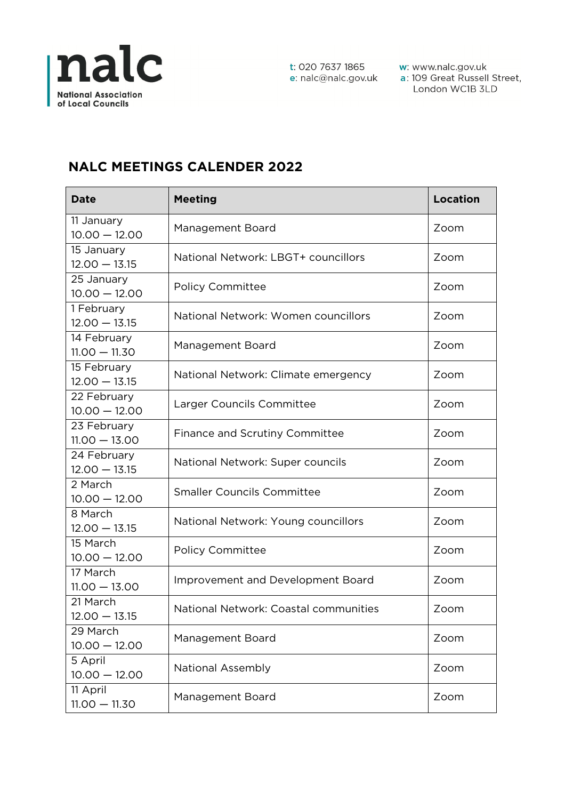

w: www.nalc.gov.uk a: 109 Great Russell Street, London WC1B 3LD

## **NALC MEETINGS CALENDER 2022**

| <b>Date</b>                    | <b>Meeting</b>                           | <b>Location</b> |
|--------------------------------|------------------------------------------|-----------------|
| 11 January<br>$10.00 - 12.00$  | Management Board                         | Zoom            |
| 15 January<br>$12.00 - 13.15$  | National Network: LBGT+ councillors      | Zoom            |
| 25 January<br>$10.00 - 12.00$  | <b>Policy Committee</b>                  | Zoom            |
| 1 February<br>$12.00 - 13.15$  | National Network: Women councillors      | Zoom            |
| 14 February<br>$11.00 - 11.30$ | Management Board                         | Zoom            |
| 15 February<br>$12.00 - 13.15$ | National Network: Climate emergency      | Zoom            |
| 22 February<br>$10.00 - 12.00$ | Larger Councils Committee                | Zoom            |
| 23 February<br>$11.00 - 13.00$ | <b>Finance and Scrutiny Committee</b>    | Zoom            |
| 24 February<br>$12.00 - 13.15$ | National Network: Super councils         | Zoom            |
| 2 March<br>$10.00 - 12.00$     | <b>Smaller Councils Committee</b>        | Zoom            |
| 8 March<br>$12.00 - 13.15$     | National Network: Young councillors      | Zoom            |
| 15 March<br>$10.00 - 12.00$    | <b>Policy Committee</b>                  | Zoom            |
| 17 March<br>$11.00 - 13.00$    | <b>Improvement and Development Board</b> | Zoom            |
| 21 March<br>12.00 - 13.15      | National Network: Coastal communities    | Zoom            |
| 29 March<br>$10.00 - 12.00$    | Management Board                         | Zoom            |
| 5 April<br>$10.00 - 12.00$     | <b>National Assembly</b>                 | Zoom            |
| 11 April<br>$11.00 - 11.30$    | Management Board                         | Zoom            |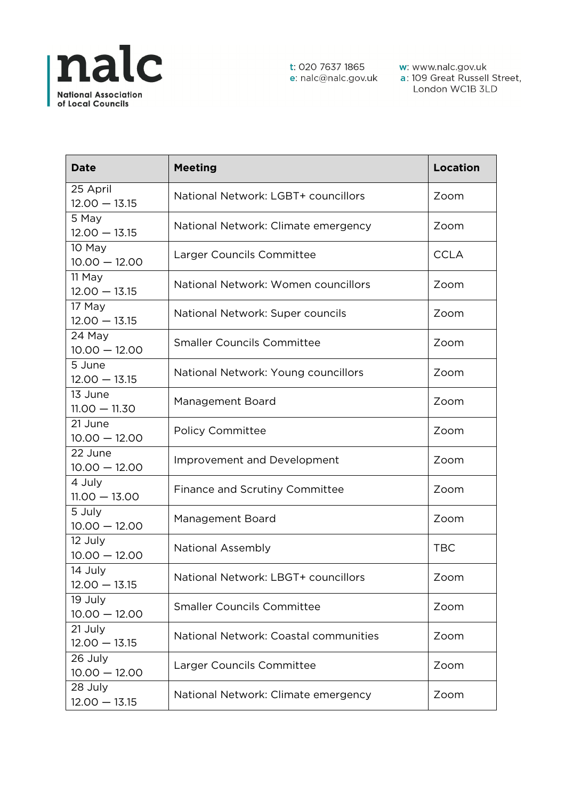

w: www.nalc.gov.uk<br>a: 109 Great Russell Street, London WC1B 3LD

| <b>Date</b>                 | <b>Meeting</b>                        | <b>Location</b> |
|-----------------------------|---------------------------------------|-----------------|
| 25 April<br>$12.00 - 13.15$ | National Network: LGBT+ councillors   | Zoom            |
| 5 May<br>$12.00 - 13.15$    | National Network: Climate emergency   | Zoom            |
| 10 May<br>$10.00 - 12.00$   | Larger Councils Committee             | <b>CCLA</b>     |
| 11 May<br>$12.00 - 13.15$   | National Network: Women councillors   | Zoom            |
| 17 May<br>$12.00 - 13.15$   | National Network: Super councils      | Zoom            |
| 24 May<br>$10.00 - 12.00$   | <b>Smaller Councils Committee</b>     | Zoom            |
| 5 June<br>$12.00 - 13.15$   | National Network: Young councillors   | Zoom            |
| 13 June<br>$11.00 - 11.30$  | Management Board                      | Zoom            |
| 21 June<br>$10.00 - 12.00$  | <b>Policy Committee</b>               | Zoom            |
| 22 June<br>$10.00 - 12.00$  | Improvement and Development           | Zoom            |
| 4 July<br>$11.00 - 13.00$   | Finance and Scrutiny Committee        | Zoom            |
| 5 July<br>$10.00 - 12.00$   | Management Board                      | Zoom            |
| 12 July<br>$10.00 - 12.00$  | <b>National Assembly</b>              | <b>TBC</b>      |
| 14 July<br>$12.00 - 13.15$  | National Network: LBGT+ councillors   | Zoom            |
| 19 July<br>$10.00 - 12.00$  | <b>Smaller Councils Committee</b>     | Zoom            |
| 21 July<br>$12.00 - 13.15$  | National Network: Coastal communities | Zoom            |
| 26 July<br>$10.00 - 12.00$  | Larger Councils Committee             | Zoom            |
| 28 July<br>$12.00 - 13.15$  | National Network: Climate emergency   | Zoom            |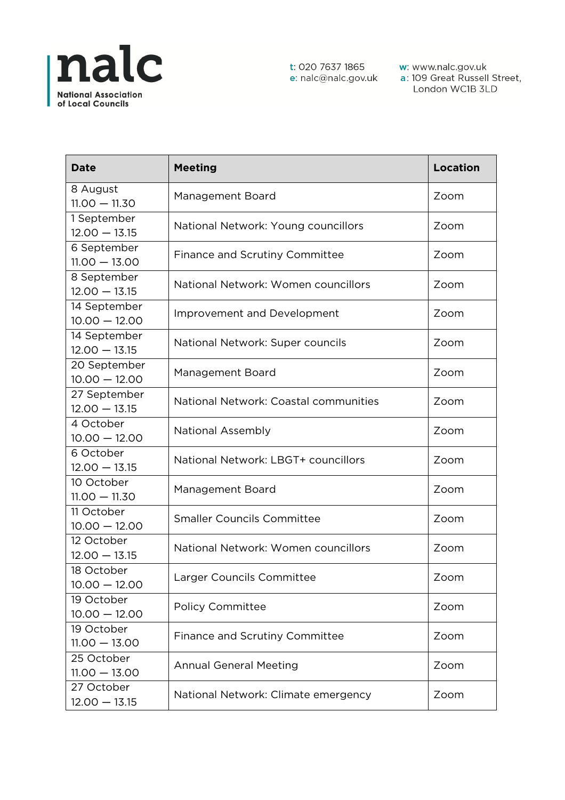

w: www.nalc.gov.uk<br>a: 109 Great Russell Street, London WC1B 3LD

| <b>Date</b>                     | <b>Meeting</b>                        | <b>Location</b> |
|---------------------------------|---------------------------------------|-----------------|
| 8 August<br>$11.00 - 11.30$     | Management Board                      | Zoom            |
| 1 September<br>$12.00 - 13.15$  | National Network: Young councillors   | Zoom            |
| 6 September<br>$11.00 - 13.00$  | Finance and Scrutiny Committee        | Zoom            |
| 8 September<br>$12.00 - 13.15$  | National Network: Women councillors   | Zoom            |
| 14 September<br>$10.00 - 12.00$ | Improvement and Development           | Zoom            |
| 14 September<br>$12.00 - 13.15$ | National Network: Super councils      | Zoom            |
| 20 September<br>$10.00 - 12.00$ | Management Board                      | Zoom            |
| 27 September<br>$12.00 - 13.15$ | National Network: Coastal communities | Zoom            |
| 4 October<br>$10.00 - 12.00$    | National Assembly                     | Zoom            |
| 6 October<br>$12.00 - 13.15$    | National Network: LBGT+ councillors   | Zoom            |
| 10 October<br>$11.00 - 11.30$   | Management Board                      | Zoom            |
| 11 October<br>$10.00 - 12.00$   | <b>Smaller Councils Committee</b>     | Zoom            |
| 12 October<br>$12.00 - 13.15$   | National Network: Women councillors   | Zoom            |
| 18 October<br>$10.00 - 12.00$   | Larger Councils Committee             | Zoom            |
| 19 October<br>$10.00 - 12.00$   | <b>Policy Committee</b>               | Zoom            |
| 19 October<br>$11.00 - 13.00$   | <b>Finance and Scrutiny Committee</b> | Zoom            |
| 25 October<br>$11.00 - 13.00$   | <b>Annual General Meeting</b>         | Zoom            |
| 27 October<br>$12.00 - 13.15$   | National Network: Climate emergency   | Zoom            |